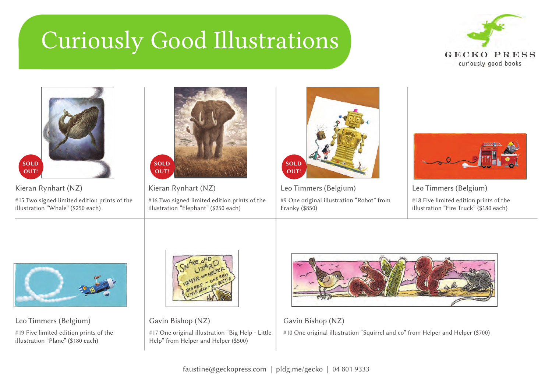## Curiously Good Illustrations





Kieran Rynhart (NZ) #15 Two signed limited edition prints of the illustration "Whale" (\$250 each)



Kieran Rynhart (NZ) #16 Two signed limited edition prints of the illustration "Elephant" (\$250 each)



Leo Timmers (Belgium) #9 One original illustration "Robot" from Franky (\$850)



Leo Timmers (Belgium) #18 Five limited edition prints of the illustration "Fire Truck" (\$180 each)



Leo Timmers (Belgium)

#19 Five limited edition prints of the illustration "Plane" (\$180 each)



Gavin Bishop (NZ) #17 One original illustration "Big Help - Little Help" from Helper and Helper (\$500)



Gavin Bishop (NZ) #10 One original illustration "Squirrel and co" from Helper and Helper (\$700)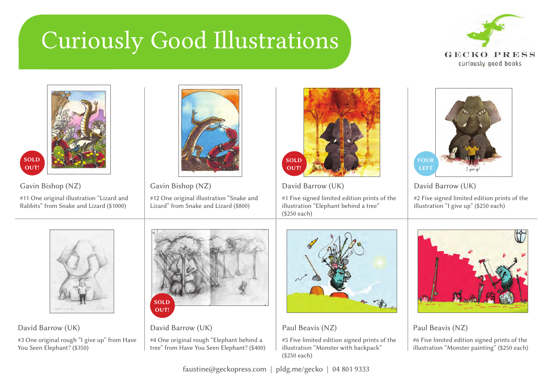## Curiously Good Illustrations





David Barrow (UK)

#3 One original rough "I give up" from Have You Seen Elephant? (\$350)



David Barrow (UK)

#4 One original rough "Elephant behind a tree" from Have You Seen Elephant? (\$400)



Paul Beavis (NZ)

#5 Five limited edition signed prints of the illustration "Monster with backpack" (\$250 each)

Paul Beavis (NZ)

#6 Five limited edition signed prints of the illustration "Monster painting" (\$250 each)

faustine@geckopress.com | pldg.me/gecko | 04 801 9333